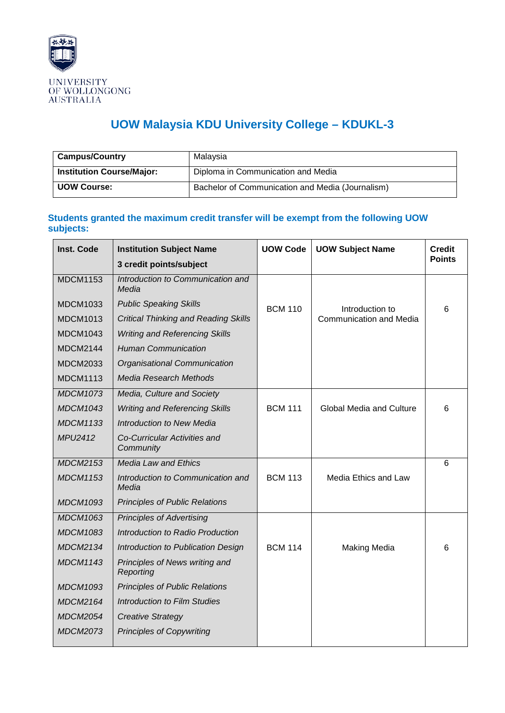

## **UOW Malaysia KDU University College – KDUKL-3**

| <b>Campus/Country</b>            | Malaysia                                         |
|----------------------------------|--------------------------------------------------|
| <b>Institution Course/Major:</b> | Diploma in Communication and Media               |
| <b>UOW Course:</b>               | Bachelor of Communication and Media (Journalism) |

## **Students granted the maximum credit transfer will be exempt from the following UOW subjects:**

| Inst. Code      | <b>Institution Subject Name</b>             | <b>UOW Code</b> | <b>UOW Subject Name</b>         | <b>Credit</b> |
|-----------------|---------------------------------------------|-----------------|---------------------------------|---------------|
|                 | 3 credit points/subject                     |                 |                                 | <b>Points</b> |
| <b>MDCM1153</b> | Introduction to Communication and<br>Media  |                 |                                 |               |
| <b>MDCM1033</b> | <b>Public Speaking Skills</b>               | <b>BCM 110</b>  | Introduction to                 | 6             |
| <b>MDCM1013</b> | <b>Critical Thinking and Reading Skills</b> |                 | <b>Communication and Media</b>  |               |
| <b>MDCM1043</b> | <b>Writing and Referencing Skills</b>       |                 |                                 |               |
| <b>MDCM2144</b> | <b>Human Communication</b>                  |                 |                                 |               |
| <b>MDCM2033</b> | Organisational Communication                |                 |                                 |               |
| <b>MDCM1113</b> | <b>Media Research Methods</b>               |                 |                                 |               |
| <b>MDCM1073</b> | Media, Culture and Society                  |                 |                                 |               |
| <b>MDCM1043</b> | <b>Writing and Referencing Skills</b>       | <b>BCM 111</b>  | <b>Global Media and Culture</b> | 6             |
| <b>MDCM1133</b> | <b>Introduction to New Media</b>            |                 |                                 |               |
| <b>MPU2412</b>  | Co-Curricular Activities and<br>Community   |                 |                                 |               |
| <b>MDCM2153</b> | <b>Media Law and Ethics</b>                 |                 |                                 | 6             |
| <b>MDCM1153</b> | Introduction to Communication and<br>Media  | <b>BCM 113</b>  | Media Ethics and Law            |               |
| <b>MDCM1093</b> | <b>Principles of Public Relations</b>       |                 |                                 |               |
| <b>MDCM1063</b> | <b>Principles of Advertising</b>            |                 |                                 |               |
| <b>MDCM1083</b> | Introduction to Radio Production            |                 |                                 |               |
| <b>MDCM2134</b> | Introduction to Publication Design          | <b>BCM 114</b>  | <b>Making Media</b>             | 6             |
| <b>MDCM1143</b> | Principles of News writing and<br>Reporting |                 |                                 |               |
| <b>MDCM1093</b> | <b>Principles of Public Relations</b>       |                 |                                 |               |
| <b>MDCM2164</b> | <b>Introduction to Film Studies</b>         |                 |                                 |               |
| <b>MDCM2054</b> | <b>Creative Strategy</b>                    |                 |                                 |               |
| <b>MDCM2073</b> | <b>Principles of Copywriting</b>            |                 |                                 |               |